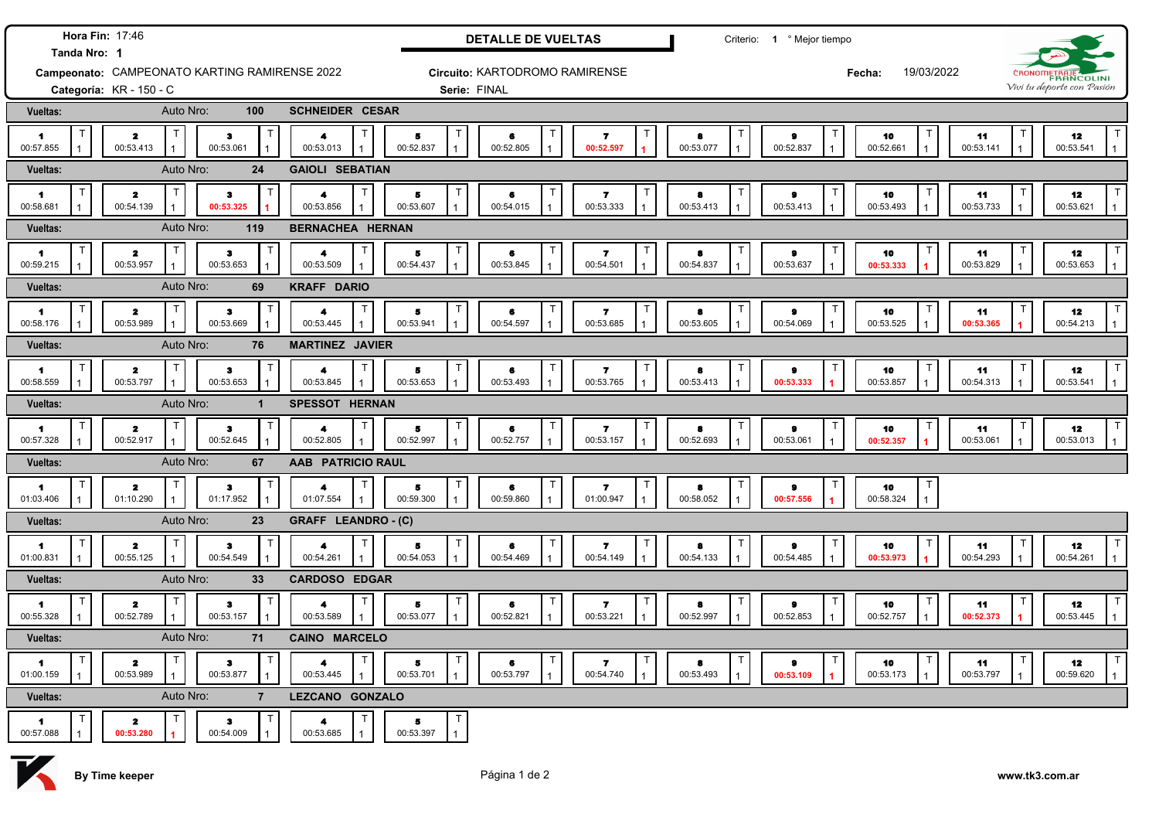| Hora Fin: 17:46<br>Tanda Nro: 1               |                                                     |                                        |                                   |                         | <b>DETALLE DE VUELTAS</b>      | Criterio: 1 º Mejor tiempo |                     |                                                         |                |             |                             |           |                      |                 |              |                                      |
|-----------------------------------------------|-----------------------------------------------------|----------------------------------------|-----------------------------------|-------------------------|--------------------------------|----------------------------|---------------------|---------------------------------------------------------|----------------|-------------|-----------------------------|-----------|----------------------|-----------------|--------------|--------------------------------------|
| Campeonato: CAMPEONATO KARTING RAMIRENSE 2022 |                                                     |                                        |                                   |                         | Circuito: KARTODROMO RAMIRENSE |                            |                     |                                                         |                |             |                             |           | 19/03/2022<br>Fecha: |                 | CRONOMETRAJE |                                      |
| Categoría: KR - 150 - C                       |                                                     |                                        |                                   | Serie: FINAL            |                                |                            |                     |                                                         |                |             |                             |           |                      |                 |              | Vivi tu deporte con Pasión           |
| Vueltas:                                      | Auto Nro:                                           | 100                                    | <b>SCHNEIDER CESAR</b>            |                         |                                |                            |                     |                                                         |                |             |                             |           |                      |                 |              |                                      |
| $\blacktriangleleft$<br>00:57.855             | T.<br>$\overline{\mathbf{z}}$<br>00:53.413          | Т<br>$\bullet$<br>00:53.061            | $\blacktriangleleft$<br>00:53.013 |                         | 5<br>00:52.837                 | 6<br>00:52.805             | $\overline{1}$      | т<br>$\overline{\mathbf{r}}$<br>00:52.597               | 8<br>00:53.077 | 1           | Τ<br>$\bullet$<br>00:52.837 | 00:52.661 | 10                   | 11<br>00:53.141 |              | 12<br>00:53.541                      |
| Vueltas:                                      | Auto Nro:<br>24                                     |                                        |                                   | <b>GAIOLI SEBATIAN</b>  |                                |                            |                     |                                                         |                |             |                             |           |                      |                 |              |                                      |
| $\blacksquare$<br>00:58.681                   | T.<br>$\overline{\mathbf{z}}$<br>00:54.139          | $\bullet$<br>00:53.325                 | $\blacktriangle$<br>00:53.856     |                         | 5<br>00:53.607                 | 6<br>00:54.015             |                     | 7<br>00:53.333                                          | 8<br>00:53.413 |             | $\bullet$<br>00:53.413      | 00:53.493 | 10                   | 11<br>00:53.733 |              | 12<br>00:53.621                      |
| Vueltas:                                      | Auto Nro:                                           | 119                                    |                                   | <b>BERNACHEA HERNAN</b> |                                |                            |                     |                                                         |                |             |                             |           |                      |                 |              |                                      |
| $\blacktriangleleft$<br>00:59.215             | T<br>$\mathbf{z}$<br>00:53.957                      | з<br>00:53.653                         | 4<br>00:53.509                    |                         | 5<br>00:54.437                 | 6<br>00:53.845             |                     | -7<br>00:54.501<br>$\mathbf{1}$                         | 8<br>00:54.837 |             | $\bullet$<br>00:53.637      | 00:53.333 | 10                   | 11<br>00:53.829 |              | 12<br>00:53.653                      |
| <b>Vueltas:</b>                               | Auto Nro:                                           | 69                                     | <b>KRAFF DARIO</b>                |                         |                                |                            |                     |                                                         |                |             |                             |           |                      |                 |              |                                      |
| $\blacktriangleleft$<br>00:58.176             | T<br>$\overline{\mathbf{2}}$<br>00:53.989           | T<br>$\bullet$<br>00:53.669            | 4<br>00:53.445                    | T                       | 5<br>00:53.941                 | 6<br>00:54.597             | T                   | $\overline{\phantom{a}}$<br>00:53.685<br>$\overline{1}$ | 8<br>00:53.605 |             | т<br>9<br>00:54.069         | 00:53.525 | 10                   | 11<br>00:53.365 |              | 12<br>00:54.213                      |
| Vueltas:                                      | Auto Nro:                                           | 76                                     | <b>MARTINEZ JAVIER</b>            |                         |                                |                            |                     |                                                         |                |             |                             |           |                      |                 |              |                                      |
| $\blacktriangleleft$<br>00:58.559             | T<br>$\overline{\mathbf{z}}$<br>00:53.797           | $\bullet$<br>00:53.653                 | $\blacktriangleleft$<br>00:53.845 | T                       | 5<br>00:53.653                 | 6<br>00:53.493             | Т                   | $\overline{\phantom{a}}$<br>00:53.765                   | 8<br>00:53.413 |             | Т<br>$\bullet$<br>00:53.333 | 00:53.857 | 10                   | 11<br>00:54.313 |              | 12<br>00:53.541                      |
| Vueltas:                                      | Auto Nro:                                           | $\mathbf{1}$                           | SPESSOT HERNAN                    |                         |                                |                            |                     |                                                         |                |             |                             |           |                      |                 |              |                                      |
| $\blacksquare$<br>00:57.328                   | $\mathsf T$<br>$\overline{\mathbf{z}}$<br>00:52.917 | $\bullet$<br>00:52.645                 | $\blacktriangle$<br>00:52.805     | T                       | 5<br>00:52.997                 | 6<br>00:52.757             | Т<br>$\overline{1}$ | $\overline{ }$<br>00:53.157                             | 8<br>00:52.693 |             | т<br>$\bullet$<br>00:53.061 | 00:52.357 | 10                   | 11<br>00:53.061 |              | T<br>12<br>00:53.013                 |
| Vueltas:                                      | Auto Nro:                                           | 67                                     | AAB PATRICIO RAUL                 |                         |                                |                            |                     |                                                         |                |             |                             |           |                      |                 |              |                                      |
| 1.<br>01:03.406                               | T<br>$\overline{\mathbf{z}}$<br>01:10.290           | $\bf{3}$<br>01:17.952                  | 4<br>01:07.554                    |                         | 5<br>00:59.300                 | 6<br>00:59.860             | Т<br>1              | $\mathbf{7}$<br>01:00.947                               | 8<br>00:58.052 |             | т<br>$\bullet$<br>00:57.556 | 00:58.324 | Т<br>10              |                 |              |                                      |
| Vueltas:                                      | Auto Nro:                                           | 23                                     | GRAFF LEANDRO - (C)               |                         |                                |                            |                     |                                                         |                |             |                             |           |                      |                 |              |                                      |
| 1.<br>01:00.831                               | $\mathsf T$<br>$\overline{\mathbf{z}}$<br>00:55.125 | $\mathsf{T}$<br>$\bullet$<br>00:54.549 | 4<br>00:54.261                    | T                       | $\mathsf{T}$<br>5<br>00:54.053 | 6<br>00:54.469             | T                   | $\mathsf{T}$<br>7<br>00:54.149                          | 8<br>00:54.133 | $\mathsf T$ | T<br>$\bullet$<br>00:54.485 | 00:53.973 | T<br>10              | 11<br>00:54.293 |              | T<br>12<br>00:54.261<br>$\mathbf{1}$ |
| <b>Vueltas:</b>                               | Auto Nro:                                           | 33                                     | <b>CARDOSO EDGAR</b>              |                         |                                |                            |                     |                                                         |                |             |                             |           |                      |                 |              |                                      |
| $\mathbf{1}$<br>00:55.328                     | T<br>$\overline{\mathbf{2}}$<br>00:52.789           | $\mathsf{T}$<br>з<br>00:53.157         | 4<br>00:53.589                    | $\mathsf{T}$            | $\mathsf{T}$<br>5<br>00:53.077 | 6<br>00:52.821             | $\mathsf T$<br>1    | $\top$<br>$\overline{\mathbf{r}}$<br>00:53.221          | 8<br>00:52.997 | Т           | T<br>$\bullet$<br>00:52.853 | 00:52.757 | Т<br>10              | 11<br>00:52.373 |              | 12<br>00:53.445                      |
| Vueltas:                                      | Auto Nro:                                           | 71                                     | <b>CAINO MARCELO</b>              |                         |                                |                            |                     |                                                         |                |             |                             |           |                      |                 |              |                                      |
| 1<br>01:00.159                                | T<br>$\overline{\mathbf{z}}$<br>00:53.989           | $\mathbf T$<br>$\bullet$<br>00:53.877  | $\blacktriangle$<br>00:53.445     | т                       | Б<br>00:53.701                 | 6<br>00:53.797             | Т                   | -7<br>00:54.740                                         | 8<br>00:53.493 |             | Τ<br>$\bullet$<br>00:53.109 |           | 10<br>00:53.173      | 11<br>00:53.797 |              | 12<br>00:59.620                      |
| Vueltas:                                      | Auto Nro:                                           | $\overline{7}$                         | LEZCANO GONZALO                   |                         |                                |                            |                     |                                                         |                |             |                             |           |                      |                 |              |                                      |
| $\blacksquare$<br>00:57.088                   | т<br>$\overline{\mathbf{z}}$<br>00:53.280           | $\bullet$<br>00:54.009                 | 4<br>00:53.685                    | Т                       | $\mathsf{T}$<br>5<br>00:53.397 |                            |                     |                                                         |                |             |                             |           |                      |                 |              |                                      |